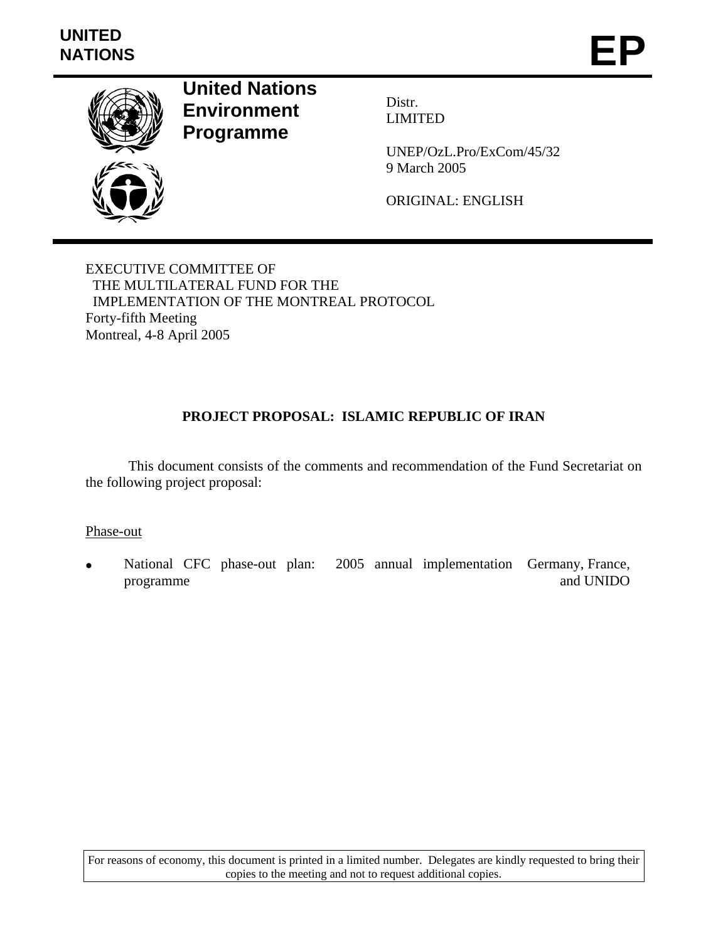

**United Nations Environment Programme** 

Distr. LIMITED

UNEP/OzL.Pro/ExCom/45/32 9 March 2005

ORIGINAL: ENGLISH

EXECUTIVE COMMITTEE OF THE MULTILATERAL FUND FOR THE IMPLEMENTATION OF THE MONTREAL PROTOCOL Forty-fifth Meeting Montreal, 4-8 April 2005

# **PROJECT PROPOSAL: ISLAMIC REPUBLIC OF IRAN**

 This document consists of the comments and recommendation of the Fund Secretariat on the following project proposal:

Phase-out

• National CFC phase-out plan: 2005 annual implementation Germany, France, programme and UNIDO

For reasons of economy, this document is printed in a limited number. Delegates are kindly requested to bring their copies to the meeting and not to request additional copies.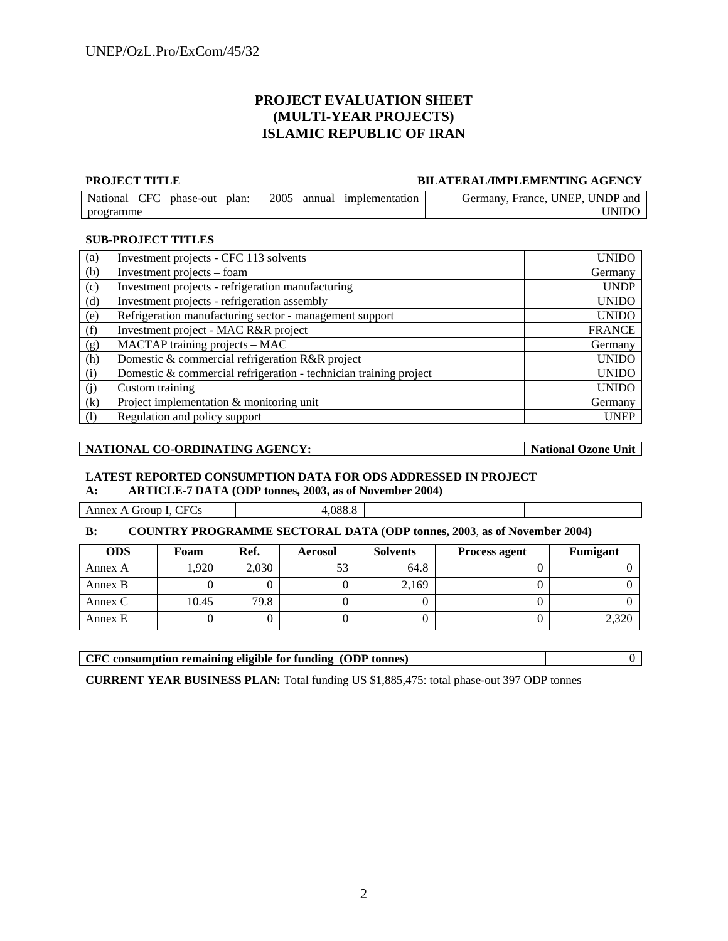### **PROJECT EVALUATION SHEET (MULTI-YEAR PROJECTS) ISLAMIC REPUBLIC OF IRAN**

**PROJECT TITLE BILATERAL/IMPLEMENTING AGENCY** 

| National CFC phase-out | plan: | 2005 annual implementation | Germany, France, UNEP, UNDP and |
|------------------------|-------|----------------------------|---------------------------------|
| programme              |       |                            | <b>INIDO</b>                    |

### **SUB-PROJECT TITLES**

| (a)               | Investment projects - CFC 113 solvents                            | <b>UNIDO</b>  |
|-------------------|-------------------------------------------------------------------|---------------|
| (b)               | Investment projects – foam                                        | Germany       |
| (c)               | Investment projects - refrigeration manufacturing                 | <b>UNDP</b>   |
| (d)               | Investment projects - refrigeration assembly                      | <b>UNIDO</b>  |
| (e)               | Refrigeration manufacturing sector - management support           | <b>UNIDO</b>  |
| (f)               | Investment project - MAC R&R project                              | <b>FRANCE</b> |
| (g)               | MACTAP training projects - MAC                                    | Germany       |
| (h)               | Domestic & commercial refrigeration R&R project                   | <b>UNIDO</b>  |
| (i)               | Domestic & commercial refrigeration - technician training project | <b>UNIDO</b>  |
| (j)               | Custom training                                                   | <b>UNIDO</b>  |
| (k)               | Project implementation & monitoring unit                          | Germany       |
| $\left( 1\right)$ | Regulation and policy support                                     | <b>UNEP</b>   |

### | NATIONAL CO-ORDINATING AGENCY: | National Ozone Unit |

### **LATEST REPORTED CONSUMPTION DATA FOR ODS ADDRESSED IN PROJECT A: ARTICLE-7 DATA (ODP tonnes, 2003, as of November 2004)**

| $\sim$<br>ыı<br>.<br>.<br>DН<br>$\sim$<br>.<br>. . | noc |  |
|----------------------------------------------------|-----|--|
|                                                    |     |  |

### **B: COUNTRY PROGRAMME SECTORAL DATA (ODP tonnes, 2003**, **as of November 2004)**

| <b>ODS</b> | Foam  | Ref.  | <b>Aerosol</b> | <b>Solvents</b> | <b>Process agent</b> | Fumigant |
|------------|-------|-------|----------------|-----------------|----------------------|----------|
| Annex A    | ,920  | 2,030 |                | 64.8            |                      |          |
| Annex B    |       |       |                | 2,169           |                      |          |
| Annex C    | 10.45 | 79.8  |                |                 |                      |          |
| Annex E    |       |       |                |                 |                      | 2,320    |

**CFC consumption remaining eligible for funding (ODP tonnes)** 0

**CURRENT YEAR BUSINESS PLAN:** Total funding US \$1,885,475: total phase-out 397 ODP tonnes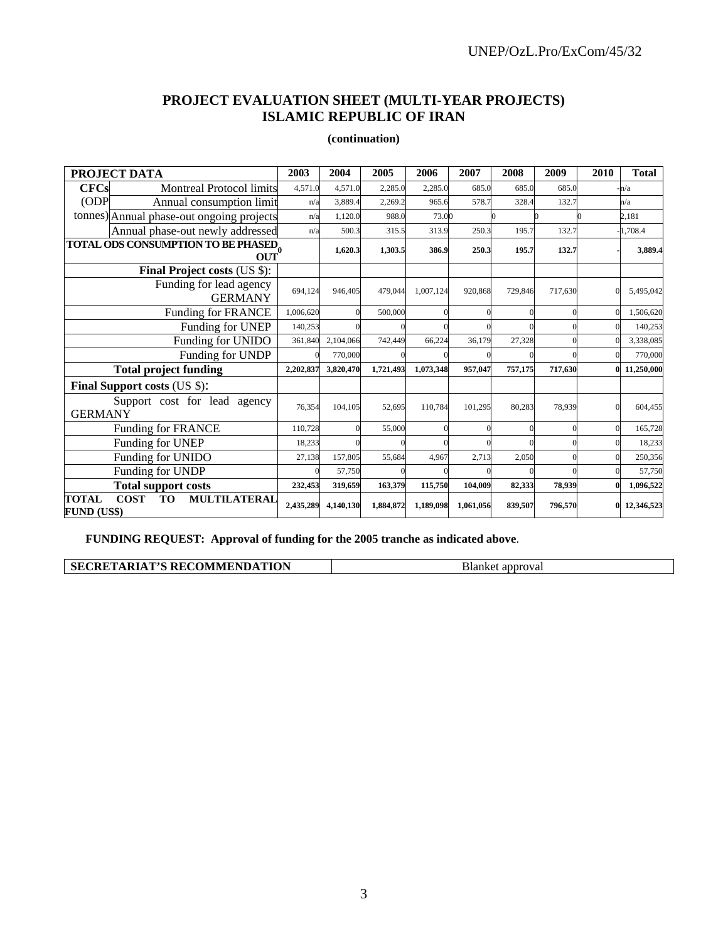# **PROJECT EVALUATION SHEET (MULTI-YEAR PROJECTS) ISLAMIC REPUBLIC OF IRAN**

### **(continuation)**

| PROJECT DATA                               |                                                               | 2003      | 2004      | 2005      | 2006      | 2007      | 2008    | 2009    | 2010      | <b>Total</b> |
|--------------------------------------------|---------------------------------------------------------------|-----------|-----------|-----------|-----------|-----------|---------|---------|-----------|--------------|
| <b>CFCs</b>                                | <b>Montreal Protocol limits</b>                               | 4,571.0   | 4,571.0   | 2,285.0   | 2,285.0   | 685.0     | 685.0   | 685.0   |           | -n/a         |
| ODP                                        | Annual consumption limit                                      | n/a       | 3,889.4   | 2,269.2   | 965.6     | 578.7     | 328.4   | 132.7   |           | n/a          |
|                                            | tonnes) Annual phase-out ongoing projects                     | n/a       | 1,120.0   | 988.0     | 73.00     |           |         |         |           | 2,181        |
|                                            | Annual phase-out newly addressed                              | n/a       | 500.3     | 315.5     | 313.9     | 250.3     | 195.7   | 132.7   |           | 1,708.4      |
|                                            | <b>TOTAL ODS CONSUMPTION TO BE PHASED<br/>OUT<sup>0</sup></b> |           | 1,620.3   | 1,303.5   | 386.9     | 250.3     | 195.7   | 132.7   |           | 3,889.4      |
|                                            | Final Project costs (US \$):                                  |           |           |           |           |           |         |         |           |              |
|                                            | Funding for lead agency<br><b>GERMANY</b>                     | 694,124   | 946,405   | 479,044   | 1,007,124 | 920,868   | 729,846 | 717,630 |           | 5,495,042    |
|                                            | <b>Funding for FRANCE</b>                                     | 1,006,620 |           | 500,000   |           |           |         |         |           | 1,506,620    |
|                                            | Funding for UNEP                                              | 140,253   |           |           |           |           |         |         |           | 140,253      |
|                                            | 361,840                                                       | 2,104,066 | 742,449   | 66,224    | 36,179    | 27,328    |         |         | 3,338,085 |              |
|                                            | Funding for UNDP                                              |           | 770,000   |           |           |           |         |         |           | 770,000      |
|                                            | <b>Total project funding</b>                                  | 2,202,837 | 3,820,470 | 1,721,493 | 1,073,348 | 957,047   | 757,175 | 717,630 |           | 11,250,000   |
|                                            | <b>Final Support costs (US \$):</b>                           |           |           |           |           |           |         |         |           |              |
| <b>GERMANY</b>                             | Support cost for lead agency                                  | 76,354    | 104,105   | 52,695    | 110,784   | 101,295   | 80,283  | 78,939  |           | 604,455      |
|                                            | <b>Funding for FRANCE</b>                                     | 110,728   |           | 55,000    |           |           |         |         |           | 165,728      |
| Funding for UNEP                           |                                                               | 18,233    |           |           |           |           |         |         |           | 18,233       |
| Funding for UNIDO                          |                                                               | 27,138    | 157,805   | 55,684    | 4,967     | 2,713     | 2,050   |         |           | 250,356      |
| Funding for UNDP                           |                                                               |           | 57,750    |           |           |           |         |         |           | 57,750       |
|                                            | <b>Total support costs</b>                                    | 232,453   | 319,659   | 163,379   | 115,750   | 104.009   | 82,333  | 78.939  |           | 1,096,522    |
| <b>COST</b><br>TOTAL<br><b>FUND (US\$)</b> | <b>MULTILATERAL</b><br><b>TO</b>                              | 2,435,289 | 4,140,130 | 1,884,872 | 1,189,098 | 1,061,056 | 839,507 | 796,570 |           | 12,346,523   |

**FUNDING REQUEST: Approval of funding for the 2005 tranche as indicated above**.

| <b>SECRETARIAT'S RECOMMENDATION</b> | Blanket approval |
|-------------------------------------|------------------|
|                                     |                  |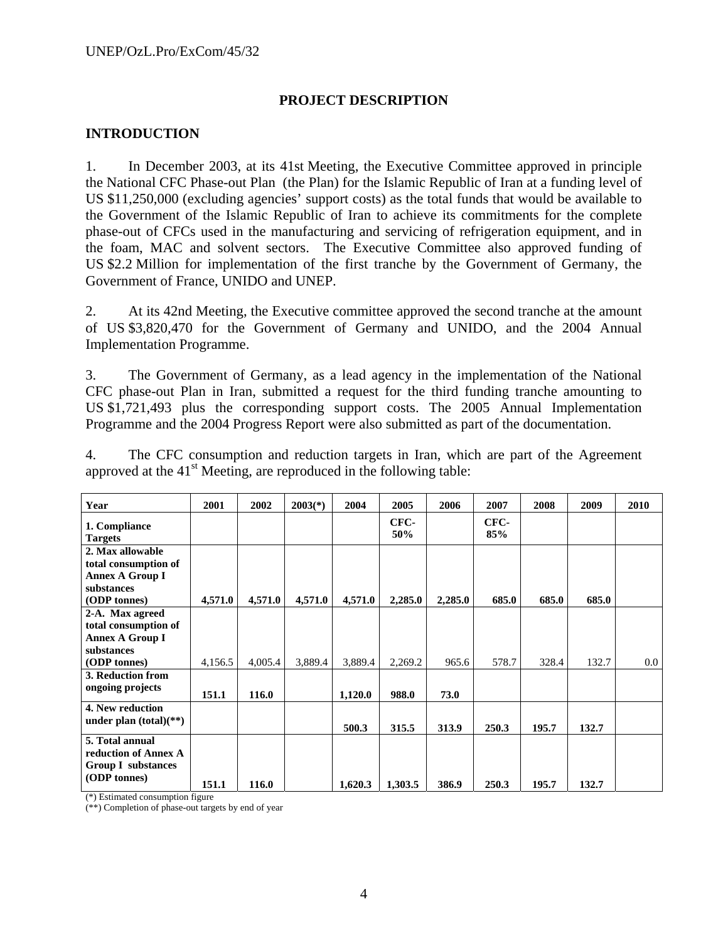### **PROJECT DESCRIPTION**

### **INTRODUCTION**

1. In December 2003, at its 41st Meeting, the Executive Committee approved in principle the National CFC Phase-out Plan (the Plan) for the Islamic Republic of Iran at a funding level of US \$11,250,000 (excluding agencies' support costs) as the total funds that would be available to the Government of the Islamic Republic of Iran to achieve its commitments for the complete phase-out of CFCs used in the manufacturing and servicing of refrigeration equipment, and in the foam, MAC and solvent sectors. The Executive Committee also approved funding of US \$2.2 Million for implementation of the first tranche by the Government of Germany, the Government of France, UNIDO and UNEP.

2. At its 42nd Meeting, the Executive committee approved the second tranche at the amount of US \$3,820,470 for the Government of Germany and UNIDO, and the 2004 Annual Implementation Programme.

3. The Government of Germany, as a lead agency in the implementation of the National CFC phase-out Plan in Iran, submitted a request for the third funding tranche amounting to US \$1,721,493 plus the corresponding support costs. The 2005 Annual Implementation Programme and the 2004 Progress Report were also submitted as part of the documentation.

4. The CFC consumption and reduction targets in Iran, which are part of the Agreement approved at the  $41<sup>st</sup>$  Meeting, are reproduced in the following table:

| Year                                                                 | 2001    | 2002    | $2003(*)$ | 2004    | 2005        | 2006    | 2007        | 2008  | 2009  | 2010    |
|----------------------------------------------------------------------|---------|---------|-----------|---------|-------------|---------|-------------|-------|-------|---------|
| 1. Compliance<br><b>Targets</b>                                      |         |         |           |         | CFC-<br>50% |         | CFC-<br>85% |       |       |         |
| 2. Max allowable<br>total consumption of<br>Annex A Group I          |         |         |           |         |             |         |             |       |       |         |
| substances<br>(ODP tonnes)                                           | 4,571.0 | 4,571.0 | 4,571.0   | 4,571.0 | 2,285.0     | 2,285.0 | 685.0       | 685.0 | 685.0 |         |
| 2-A. Max agreed                                                      |         |         |           |         |             |         |             |       |       |         |
| total consumption of                                                 |         |         |           |         |             |         |             |       |       |         |
| <b>Annex A Group I</b>                                               |         |         |           |         |             |         |             |       |       |         |
| substances                                                           |         |         |           |         |             |         |             |       |       |         |
| (ODP tonnes)                                                         | 4,156.5 | 4,005.4 | 3,889.4   | 3,889.4 | 2,269.2     | 965.6   | 578.7       | 328.4 | 132.7 | $0.0\,$ |
| 3. Reduction from                                                    |         |         |           |         |             |         |             |       |       |         |
| ongoing projects                                                     | 151.1   | 116.0   |           | 1,120.0 | 988.0       | 73.0    |             |       |       |         |
| 4. New reduction<br>under plan $(total)(**)$                         |         |         |           | 500.3   | 315.5       | 313.9   | 250.3       | 195.7 | 132.7 |         |
| 5. Total annual<br>reduction of Annex A<br><b>Group I</b> substances |         |         |           |         |             |         |             |       |       |         |
| (ODP tonnes)                                                         | 151.1   | 116.0   |           | 1,620.3 | 1,303.5     | 386.9   | 250.3       | 195.7 | 132.7 |         |

(\*) Estimated consumption figure

(\*\*) Completion of phase-out targets by end of year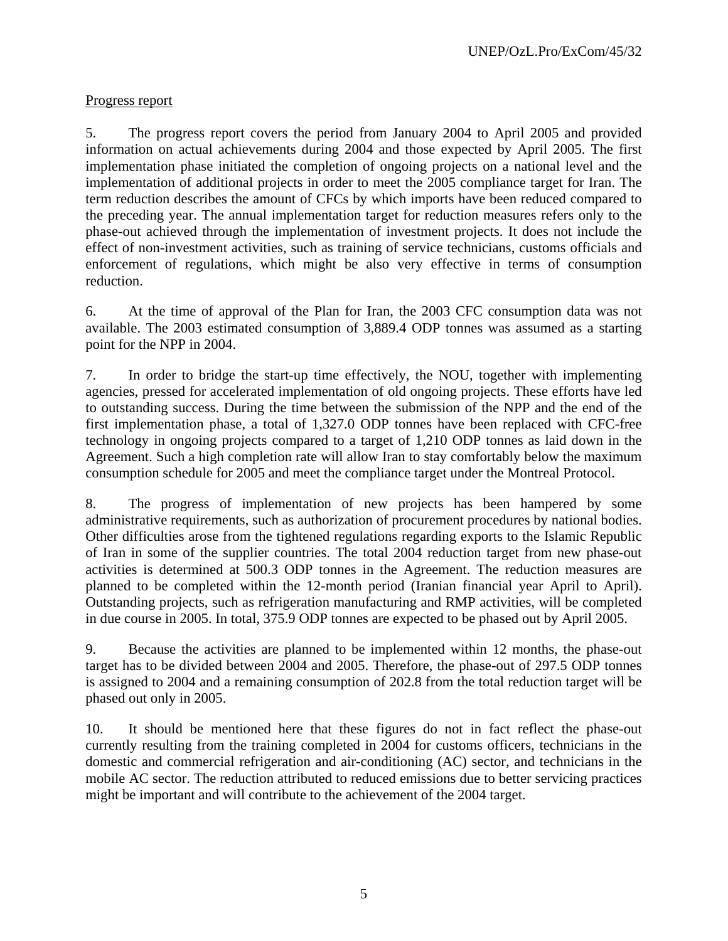# Progress report

5. The progress report covers the period from January 2004 to April 2005 and provided information on actual achievements during 2004 and those expected by April 2005. The first implementation phase initiated the completion of ongoing projects on a national level and the implementation of additional projects in order to meet the 2005 compliance target for Iran. The term reduction describes the amount of CFCs by which imports have been reduced compared to the preceding year. The annual implementation target for reduction measures refers only to the phase-out achieved through the implementation of investment projects. It does not include the effect of non-investment activities, such as training of service technicians, customs officials and enforcement of regulations, which might be also very effective in terms of consumption reduction.

6. At the time of approval of the Plan for Iran, the 2003 CFC consumption data was not available. The 2003 estimated consumption of 3,889.4 ODP tonnes was assumed as a starting point for the NPP in 2004.

7. In order to bridge the start-up time effectively, the NOU, together with implementing agencies, pressed for accelerated implementation of old ongoing projects. These efforts have led to outstanding success. During the time between the submission of the NPP and the end of the first implementation phase, a total of 1,327.0 ODP tonnes have been replaced with CFC-free technology in ongoing projects compared to a target of 1,210 ODP tonnes as laid down in the Agreement. Such a high completion rate will allow Iran to stay comfortably below the maximum consumption schedule for 2005 and meet the compliance target under the Montreal Protocol.

8. The progress of implementation of new projects has been hampered by some administrative requirements, such as authorization of procurement procedures by national bodies. Other difficulties arose from the tightened regulations regarding exports to the Islamic Republic of Iran in some of the supplier countries. The total 2004 reduction target from new phase-out activities is determined at 500.3 ODP tonnes in the Agreement. The reduction measures are planned to be completed within the 12-month period (Iranian financial year April to April). Outstanding projects, such as refrigeration manufacturing and RMP activities, will be completed in due course in 2005. In total, 375.9 ODP tonnes are expected to be phased out by April 2005.

9. Because the activities are planned to be implemented within 12 months, the phase-out target has to be divided between 2004 and 2005. Therefore, the phase-out of 297.5 ODP tonnes is assigned to 2004 and a remaining consumption of 202.8 from the total reduction target will be phased out only in 2005.

10. It should be mentioned here that these figures do not in fact reflect the phase-out currently resulting from the training completed in 2004 for customs officers, technicians in the domestic and commercial refrigeration and air-conditioning (AC) sector, and technicians in the mobile AC sector. The reduction attributed to reduced emissions due to better servicing practices might be important and will contribute to the achievement of the 2004 target.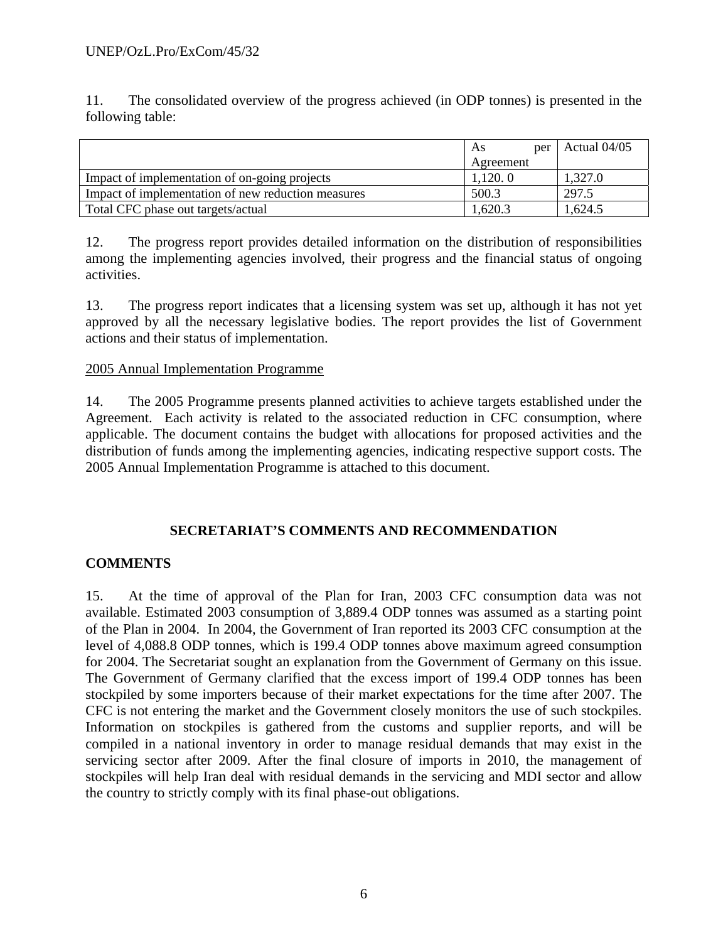11. The consolidated overview of the progress achieved (in ODP tonnes) is presented in the following table:

|                                                    | As        | per | Actual 04/05 |
|----------------------------------------------------|-----------|-----|--------------|
|                                                    | Agreement |     |              |
| Impact of implementation of on-going projects      | 1,120.0   |     | 1,327.0      |
| Impact of implementation of new reduction measures | 500.3     |     | 297.5        |
| Total CFC phase out targets/actual                 | 1,620.3   |     | .624.5       |

12. The progress report provides detailed information on the distribution of responsibilities among the implementing agencies involved, their progress and the financial status of ongoing activities.

13. The progress report indicates that a licensing system was set up, although it has not yet approved by all the necessary legislative bodies. The report provides the list of Government actions and their status of implementation.

### 2005 Annual Implementation Programme

14. The 2005 Programme presents planned activities to achieve targets established under the Agreement. Each activity is related to the associated reduction in CFC consumption, where applicable. The document contains the budget with allocations for proposed activities and the distribution of funds among the implementing agencies, indicating respective support costs. The 2005 Annual Implementation Programme is attached to this document.

## **SECRETARIAT'S COMMENTS AND RECOMMENDATION**

## **COMMENTS**

15. At the time of approval of the Plan for Iran, 2003 CFC consumption data was not available. Estimated 2003 consumption of 3,889.4 ODP tonnes was assumed as a starting point of the Plan in 2004. In 2004, the Government of Iran reported its 2003 CFC consumption at the level of 4,088.8 ODP tonnes, which is 199.4 ODP tonnes above maximum agreed consumption for 2004. The Secretariat sought an explanation from the Government of Germany on this issue. The Government of Germany clarified that the excess import of 199.4 ODP tonnes has been stockpiled by some importers because of their market expectations for the time after 2007. The CFC is not entering the market and the Government closely monitors the use of such stockpiles. Information on stockpiles is gathered from the customs and supplier reports, and will be compiled in a national inventory in order to manage residual demands that may exist in the servicing sector after 2009. After the final closure of imports in 2010, the management of stockpiles will help Iran deal with residual demands in the servicing and MDI sector and allow the country to strictly comply with its final phase-out obligations.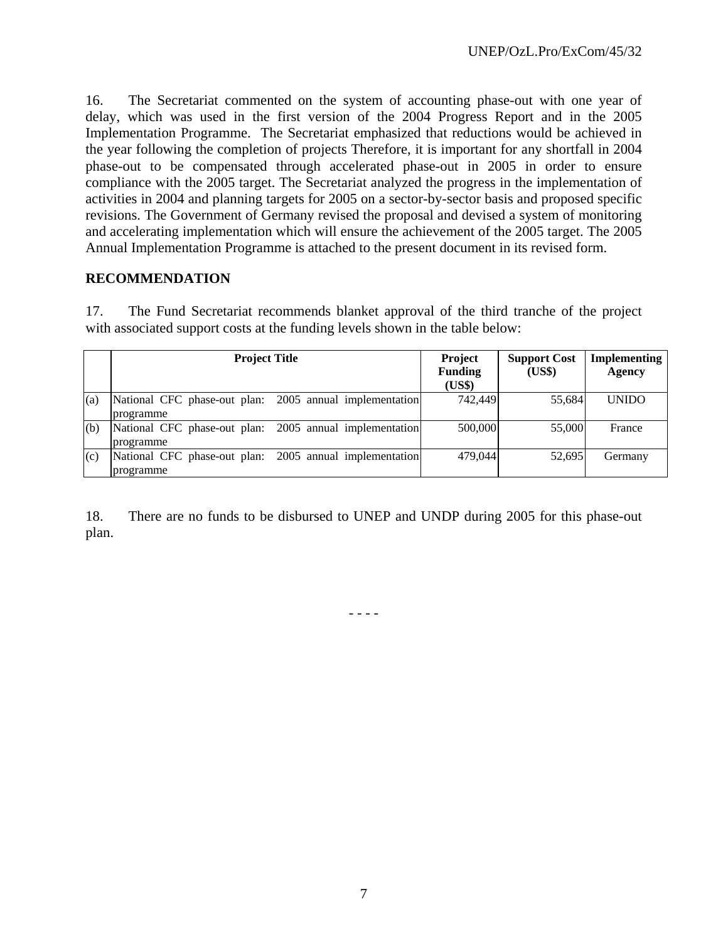16. The Secretariat commented on the system of accounting phase-out with one year of delay, which was used in the first version of the 2004 Progress Report and in the 2005 Implementation Programme. The Secretariat emphasized that reductions would be achieved in the year following the completion of projects Therefore, it is important for any shortfall in 2004 phase-out to be compensated through accelerated phase-out in 2005 in order to ensure compliance with the 2005 target. The Secretariat analyzed the progress in the implementation of activities in 2004 and planning targets for 2005 on a sector-by-sector basis and proposed specific revisions. The Government of Germany revised the proposal and devised a system of monitoring and accelerating implementation which will ensure the achievement of the 2005 target. The 2005 Annual Implementation Programme is attached to the present document in its revised form.

### **RECOMMENDATION**

17. The Fund Secretariat recommends blanket approval of the third tranche of the project with associated support costs at the funding levels shown in the table below:

|     | <b>Project Title</b>                                    | <b>Project</b><br><b>Funding</b> | <b>Support Cost</b><br>(US\$) | <b>Implementing</b><br>Agency |
|-----|---------------------------------------------------------|----------------------------------|-------------------------------|-------------------------------|
|     |                                                         | (US\$)                           |                               |                               |
| (a) | National CFC phase-out plan: 2005 annual implementation | 742,449                          | 55,684                        | <b>UNIDO</b>                  |
|     | programme                                               |                                  |                               |                               |
| (b) | National CFC phase-out plan: 2005 annual implementation | 500,000                          | 55,000                        | France                        |
|     | programme                                               |                                  |                               |                               |
| (c) | National CFC phase-out plan: 2005 annual implementation | 479,044                          | 52.695                        | Germany                       |
|     | programme                                               |                                  |                               |                               |

18. There are no funds to be disbursed to UNEP and UNDP during 2005 for this phase-out plan.

- - - -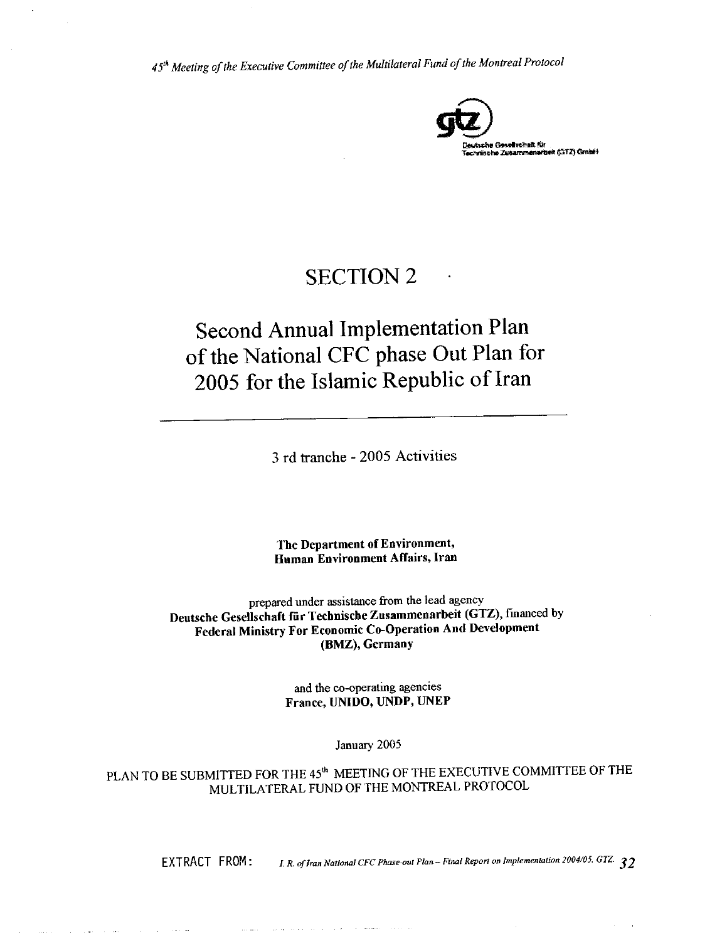

# **SECTION 2**

# **Second Annual Implementation Plan** of the National CFC phase Out Plan for 2005 for the Islamic Republic of Iran

3 rd tranche - 2005 Activities

The Department of Environment, Human Environment Affairs, Iran

prepared under assistance from the lead agency Deutsche Gesellschaft für Technische Zusammenarbeit (GTZ), financed by Federal Ministry For Economic Co-Operation And Development (BMZ), Germany

> and the co-operating agencies France, UNIDO, UNDP, UNEP

> > January 2005

PLAN TO BE SUBMITTED FOR THE 45<sup>th</sup> MEETING OF THE EXECUTIVE COMMITTEE OF THE MULTILATERAL FUND OF THE MONTREAL PROTOCOL

and a construction of

EXTRACT FROM:

I. R. of Iran National CFC Phase-out Plan -- Final Report on Implementation 2004/05. GTZ.  $32$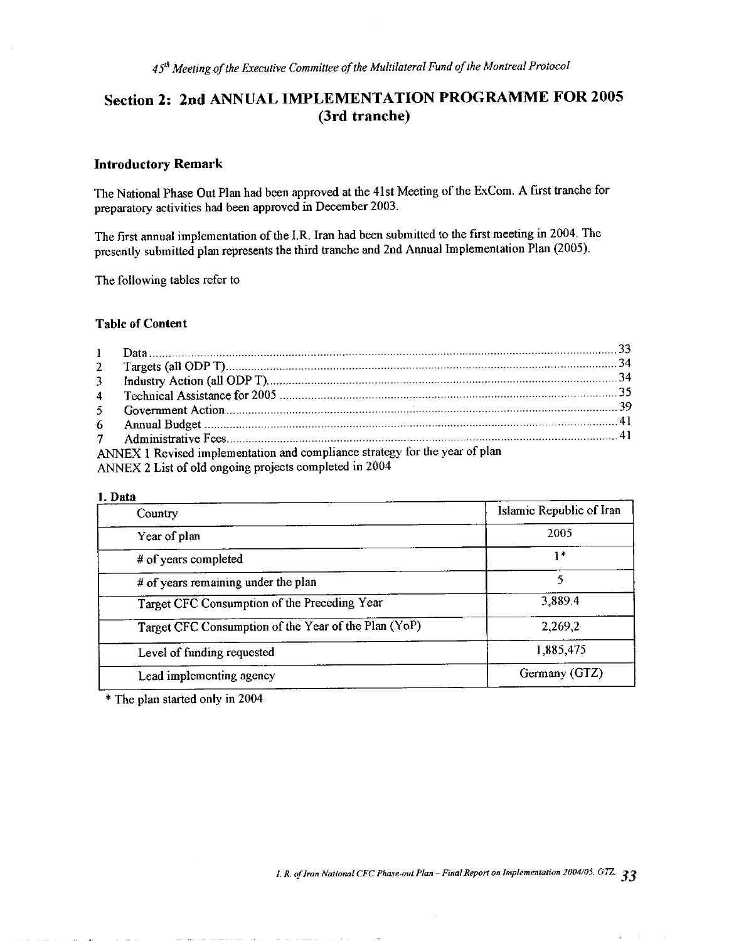# Section 2: 2nd ANNUAL IMPLEMENTATION PROGRAMME FOR 2005 (3rd tranche)

### **Introductory Remark**

The National Phase Out Plan had been approved at the 41st Meeting of the ExCom. A first tranche for preparatory activities had been approved in December 2003.

The first annual implementation of the I.R. Iran had been submitted to the first meeting in 2004. The presently submitted plan represents the third tranche and 2nd Annual Implementation Plan (2005).

The following tables refer to

#### **Table of Content**

| ANNEX 1 Revised implementation and compliance strategy for the year of plan |  |
|-----------------------------------------------------------------------------|--|
| ANNEY 2 List of old ongoing projects completed in 2004                      |  |

ANNEX 2 List of old ongoing projects completed

#### 1. Data

| Country                                              | Islamic Republic of Iran |
|------------------------------------------------------|--------------------------|
| Year of plan                                         | 2005                     |
| # of years completed                                 | $1*$                     |
| # of years remaining under the plan                  | 5                        |
| Target CFC Consumption of the Preceding Year         | 3,889.4                  |
| Target CFC Consumption of the Year of the Plan (YoP) | 2,269,2                  |
| Level of funding requested                           | 1,885,475                |
| Lead implementing agency                             | Germany (GTZ)            |

\* The plan started only in 2004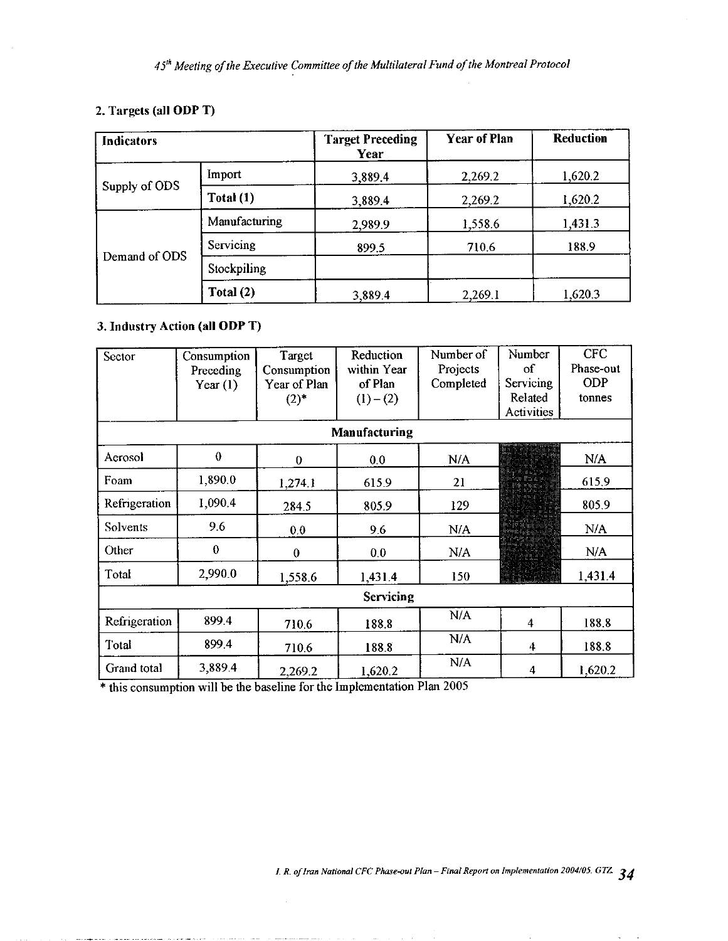# 2. Targets (all ODP T)

| <b>Indicators</b> |               | <b>Target Preceding</b><br>Year | <b>Year of Plan</b> | Reduction |  |
|-------------------|---------------|---------------------------------|---------------------|-----------|--|
|                   | <i>Import</i> | 3.889.4                         | 2,269.2             | 1,620.2   |  |
| Supply of ODS     | Total(1)      | 3,889.4                         | 2,269.2             | 1,620.2   |  |
|                   | Manufacturing | 2,989.9                         | 1,558.6             | 1,431.3   |  |
| Demand of ODS     | Servicing     | 899.5                           | 710.6               | 188.9     |  |
|                   | Stockpiling   |                                 |                     |           |  |
|                   | Total (2)     | 3,889.4                         | 2,269.1             | 1,620.3   |  |

# 3. Industry Action (all ODP T)

| Sector        | Consumption | Target           | Reduction     | Number of | Number                  | <b>CFC</b> |
|---------------|-------------|------------------|---------------|-----------|-------------------------|------------|
|               | Preceding   | Consumption      | within Year   | Projects  | οf                      | Phase-out  |
|               | Year $(1)$  | Year of Plan     | of Plan       | Completed | Servicing               | <b>ODP</b> |
|               |             | $(2)^*$          | $(1) - (2)$   |           | Related                 | tonnes     |
|               |             |                  |               |           | Activities              |            |
|               |             |                  | Manufacturing |           |                         |            |
| Aerosol       | $\theta$    | $\boldsymbol{0}$ | 0.0           | N/A       |                         | N/A        |
| Foam          | 1,890.0     | 1,274.1          | 615.9         | 21        |                         | 615.9      |
| Refrigeration | 1,090.4     | 284.5            | 805.9         | 129       |                         | 805.9      |
| Solvents      | 9.6         | 0.0              | 9.6           | N/A       |                         | N/A        |
| Other         | $\bf{0}$    | $\theta$         | 0.0           | N/A       |                         | N/A        |
| Total         | 2,990.0     | 1,558.6          | 1,431.4       | 150       |                         | 1.431.4    |
| Servicing     |             |                  |               |           |                         |            |
| Refrigeration | 899.4       | 710.6            | 188.8         | N/A       | $\overline{\mathbf{4}}$ | 188.8      |
| Total         | 899.4       | 710.6            | 188.8         | N/A       | 4                       | 188.8      |
| Grand total   | 3,889.4     | 2,269.2          | 1,620.2       | N/A       | 4                       | 1,620.2    |

\* this consumption will be the baseline for the Implementation Plan 2005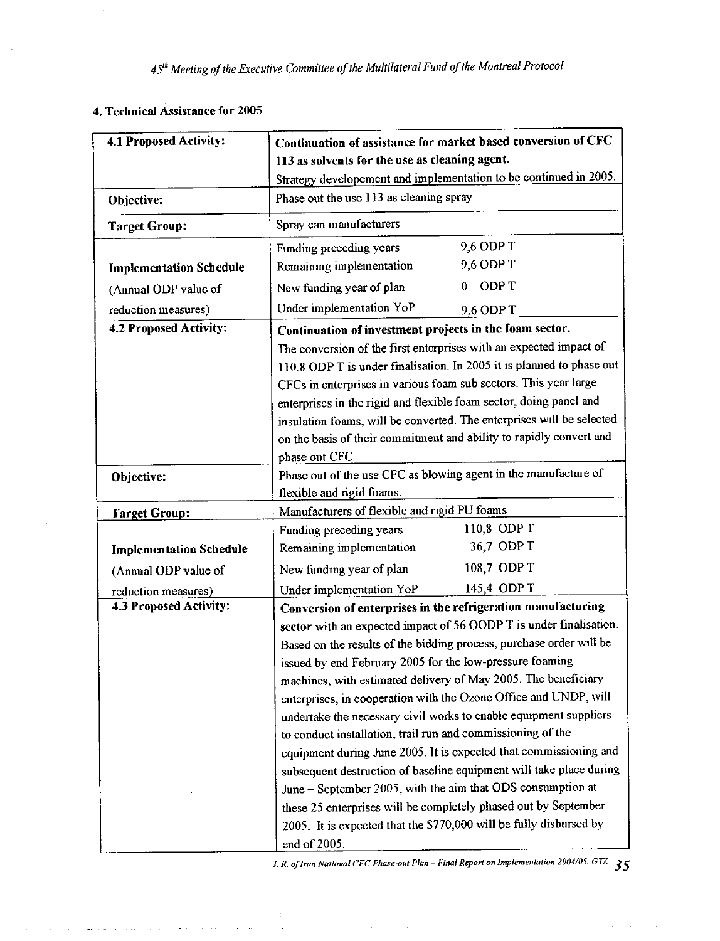# 4. Technical Assistance for 2005

 $\Delta\omega/\Delta\omega=1.5$  and

and a state

| 4.1 Proposed Activity:                        | Continuation of assistance for market based conversion of CFC<br>113 as solvents for the use as cleaning agent.                           |  |  |  |
|-----------------------------------------------|-------------------------------------------------------------------------------------------------------------------------------------------|--|--|--|
|                                               | Strategy developement and implementation to be continued in 2005.                                                                         |  |  |  |
| Objective:                                    | Phase out the use 113 as cleaning spray                                                                                                   |  |  |  |
| <b>Target Group:</b>                          | Spray can manufacturers                                                                                                                   |  |  |  |
|                                               | 9,6 ODP T<br>Funding preceding years                                                                                                      |  |  |  |
| <b>Implementation Schedule</b>                | 9,6 ODP T<br>Remaining implementation                                                                                                     |  |  |  |
| (Annual ODP value of                          | ODP T<br>New funding year of plan                                                                                                         |  |  |  |
| reduction measures)                           | Under implementation YoP<br>9,6 ODP T                                                                                                     |  |  |  |
| 4.2 Proposed Activity:                        | Continuation of investment projects in the foam sector.                                                                                   |  |  |  |
|                                               | The conversion of the first enterprises with an expected impact of                                                                        |  |  |  |
|                                               | 110.8 ODP T is under finalisation. In 2005 it is planned to phase out                                                                     |  |  |  |
|                                               | CFCs in enterprises in various foam sub sectors. This year large                                                                          |  |  |  |
|                                               | enterprises in the rigid and flexible foam sector, doing panel and                                                                        |  |  |  |
|                                               | insulation foams, will be converted. The enterprises will be selected                                                                     |  |  |  |
|                                               | on the basis of their commitment and ability to rapidly convert and                                                                       |  |  |  |
|                                               | phase out CFC.                                                                                                                            |  |  |  |
| Objective:                                    | Phase out of the use CFC as blowing agent in the manufacture of                                                                           |  |  |  |
|                                               | flexible and rigid foams.                                                                                                                 |  |  |  |
| <b>Target Group:</b>                          | Manufacturers of flexible and rigid PU foams<br>110,8 ODP T                                                                               |  |  |  |
|                                               | Funding preceding years<br>36,7 ODP T                                                                                                     |  |  |  |
| <b>Implementation Schedule</b>                | Remaining implementation<br>108,7 ODP T                                                                                                   |  |  |  |
| (Annual ODP value of                          | New funding year of plan                                                                                                                  |  |  |  |
| reduction measures)<br>4.3 Proposed Activity: | 145.4 ODP T<br>Under implementation YoP                                                                                                   |  |  |  |
|                                               | Conversion of enterprises in the refrigeration manufacturing                                                                              |  |  |  |
|                                               | sector with an expected impact of 56 OODP T is under finalisation.<br>Based on the results of the bidding process, purchase order will be |  |  |  |
|                                               | issued by end February 2005 for the low-pressure foaming                                                                                  |  |  |  |
|                                               | machines, with estimated delivery of May 2005. The beneficiary                                                                            |  |  |  |
|                                               | enterprises, in cooperation with the Ozone Office and UNDP, will                                                                          |  |  |  |
|                                               | undertake the necessary civil works to enable equipment suppliers                                                                         |  |  |  |
|                                               | to conduct installation, trail run and commissioning of the                                                                               |  |  |  |
|                                               | equipment during June 2005. It is expected that commissioning and                                                                         |  |  |  |
|                                               | subsequent destruction of baseline equipment will take place during                                                                       |  |  |  |
|                                               | June - September 2005, with the aim that ODS consumption at                                                                               |  |  |  |
|                                               | these 25 enterprises will be completely phased out by September                                                                           |  |  |  |
|                                               | 2005. It is expected that the \$770,000 will be fully disbursed by                                                                        |  |  |  |
|                                               | end of 2005.                                                                                                                              |  |  |  |

*I. R. of Iran National CFC Phase-out Plan – Final Report on Implementation 2004/05. GTZ*  $35$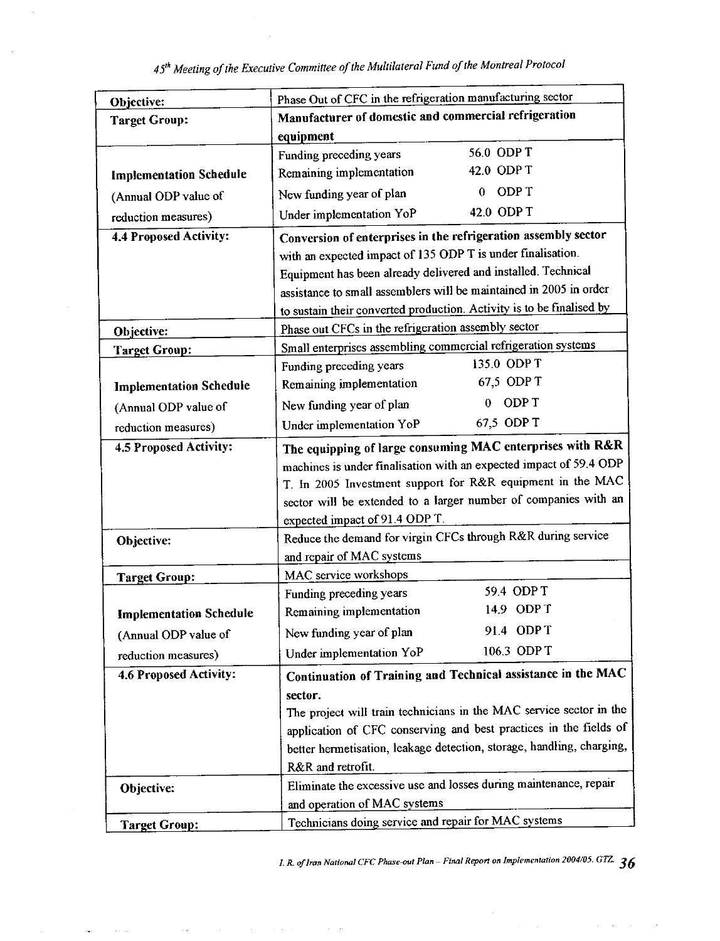| Objective:                     | Phase Out of CFC in the refrigeration manufacturing sector            |                   |  |  |
|--------------------------------|-----------------------------------------------------------------------|-------------------|--|--|
| <b>Target Group:</b>           | Manufacturer of domestic and commercial refrigeration                 |                   |  |  |
|                                | equipment                                                             |                   |  |  |
|                                | Funding preceding years                                               | 56.0 ODP T        |  |  |
| <b>Implementation Schedule</b> | Remaining implementation                                              | 42.0 ODPT         |  |  |
| (Annual ODP value of           | New funding year of plan                                              | ODP T<br>$\Omega$ |  |  |
| reduction measures)            | Under implementation YoP                                              | 42.0 ODP T        |  |  |
| 4.4 Proposed Activity:         | Conversion of enterprises in the refrigeration assembly sector        |                   |  |  |
|                                | with an expected impact of 135 ODP T is under finalisation.           |                   |  |  |
|                                | Equipment has been already delivered and installed. Technical         |                   |  |  |
|                                | assistance to small assemblers will be maintained in 2005 in order    |                   |  |  |
|                                | to sustain their converted production. Activity is to be finalised by |                   |  |  |
| Objective:                     | Phase out CFCs in the refrigeration assembly sector                   |                   |  |  |
| <b>Target Group:</b>           | Small enterprises assembling commercial refrigeration systems         |                   |  |  |
|                                | Funding preceding years                                               | 135.0 ODP T       |  |  |
| <b>Implementation Schedule</b> | Remaining implementation                                              | 67,5 ODP T        |  |  |
| (Annual ODP value of           | New funding year of plan                                              | ODP T             |  |  |
| reduction measures)            | Under implementation YoP                                              | 67,5 ODP T        |  |  |
| 4.5 Proposed Activity:         | The equipping of large consuming MAC enterprises with R&R             |                   |  |  |
|                                | machines is under finalisation with an expected impact of 59.4 ODP    |                   |  |  |
|                                | T. In 2005 Investment support for R&R equipment in the MAC            |                   |  |  |
|                                | sector will be extended to a larger number of companies with an       |                   |  |  |
|                                | expected impact of 91.4 ODP T.                                        |                   |  |  |
| Objective:                     | Reduce the demand for virgin CFCs through R&R during service          |                   |  |  |
|                                | and repair of MAC systems                                             |                   |  |  |
| <b>Target Group:</b>           | MAC service workshops                                                 |                   |  |  |
|                                | Funding preceding years                                               | 59.4 ODP T        |  |  |
| <b>Implementation Schedule</b> | Remaining implementation                                              | 14.9 ODP T        |  |  |
| (Annual ODP value of           | New funding year of plan                                              | 91.4 ODPT         |  |  |
| reduction measures)            | Under implementation YoP                                              | 106.3 ODP T       |  |  |
| 4.6 Proposed Activity:         | Continuation of Training and Technical assistance in the MAC          |                   |  |  |
|                                | sector.                                                               |                   |  |  |
|                                | The project will train technicians in the MAC service sector in the   |                   |  |  |
|                                | application of CFC conserving and best practices in the fields of     |                   |  |  |
|                                | better hermetisation, leakage detection, storage, handling, charging, |                   |  |  |
|                                | R&R and retrofit.                                                     |                   |  |  |
| Objective:                     | Eliminate the excessive use and losses during maintenance, repair     |                   |  |  |
|                                | and operation of MAC systems                                          |                   |  |  |
| <b>Target Group:</b>           | Technicians doing service and repair for MAC systems                  |                   |  |  |

 $\mathcal{L}^{\mathcal{L}}(\mathcal{L}^{\mathcal{L}}(\mathcal{L}^{\mathcal{L}}(\mathcal{L}^{\mathcal{L}}(\mathcal{L}^{\mathcal{L}}(\mathcal{L}^{\mathcal{L}}(\mathcal{L}^{\mathcal{L}}(\mathcal{L}^{\mathcal{L}}(\mathcal{L}^{\mathcal{L}}(\mathcal{L}^{\mathcal{L}}(\mathcal{L}^{\mathcal{L}}(\mathcal{L}^{\mathcal{L}}(\mathcal{L}^{\mathcal{L}}(\mathcal{L}^{\mathcal{L}}(\mathcal{L}^{\mathcal{L}}(\mathcal{L}^{\mathcal{L}}(\mathcal{L}^{\mathcal{L$ 

 $\epsilon_{\rm{eff}}$  .

 $\sim$   $\sim$ 

 $\sim$   $\sim$ 

 $\epsilon\rightarrow -\epsilon$ 

 $\bar{\beta}$ 

I. R. of Iran National CFC Phase-out Plan – Final Report on Implementation 2004/05. GTZ.  $\,36$ 

 $\Delta \phi = \Delta \phi = -\Delta \phi$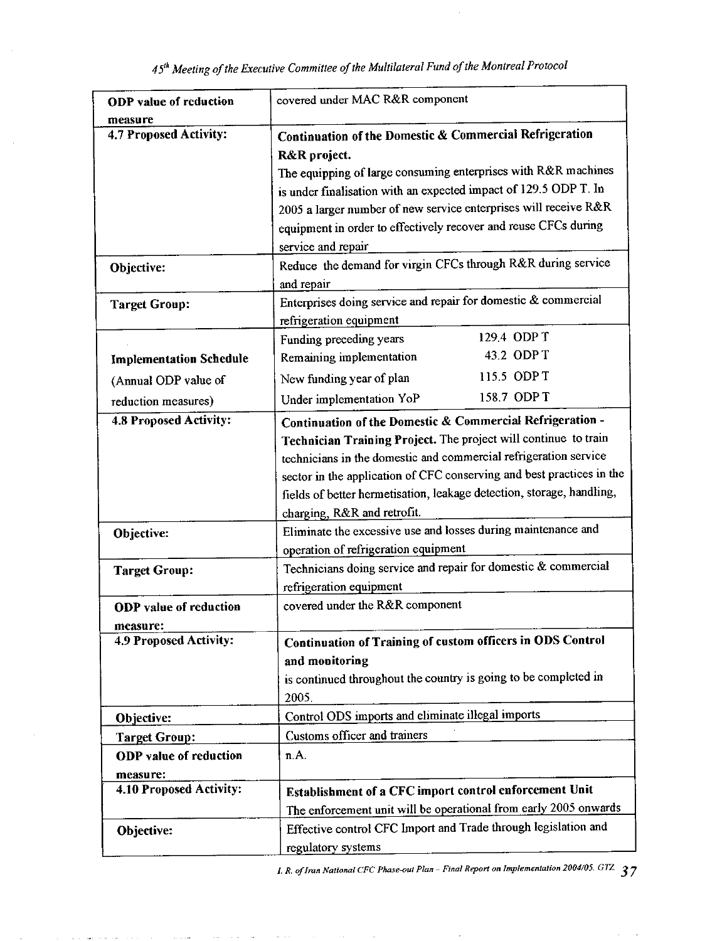| <b>ODP</b> value of reduction       | covered under MAC R&R component                                       |  |  |  |
|-------------------------------------|-----------------------------------------------------------------------|--|--|--|
| measure<br>4.7 Proposed Activity:   | Continuation of the Domestic & Commercial Refrigeration               |  |  |  |
|                                     | R&R project.                                                          |  |  |  |
|                                     | The equipping of large consuming enterprises with R&R machines        |  |  |  |
|                                     | is under finalisation with an expected impact of 129.5 ODP T. In      |  |  |  |
|                                     | 2005 a larger number of new service enterprises will receive R&R      |  |  |  |
|                                     | equipment in order to effectively recover and reuse CFCs during       |  |  |  |
|                                     | service and repair                                                    |  |  |  |
| Objective:                          | Reduce the demand for virgin CFCs through R&R during service          |  |  |  |
|                                     | and repair                                                            |  |  |  |
| <b>Target Group:</b>                | Enterprises doing service and repair for domestic & commercial        |  |  |  |
|                                     | refrigeration equipment                                               |  |  |  |
|                                     | 129.4 ODP T<br>Funding preceding years                                |  |  |  |
| <b>Implementation Schedule</b>      | 43.2 ODP T<br>Remaining implementation                                |  |  |  |
| (Annual ODP value of                | 115.5 ODP T<br>New funding year of plan                               |  |  |  |
| reduction measures)                 | 158.7 ODP T<br>Under implementation YoP                               |  |  |  |
| <b>4.8 Proposed Activity:</b>       | Continuation of the Domestic & Commercial Refrigeration -             |  |  |  |
|                                     | Technician Training Project. The project will continue to train       |  |  |  |
|                                     | technicians in the domestic and commercial refrigeration service      |  |  |  |
|                                     | sector in the application of CFC conserving and best practices in the |  |  |  |
|                                     | fields of better hermetisation, leakage detection, storage, handling, |  |  |  |
|                                     | charging, R&R and retrofit.                                           |  |  |  |
| Objective:                          | Eliminate the excessive use and losses during maintenance and         |  |  |  |
|                                     | operation of refrigeration equipment                                  |  |  |  |
| <b>Target Group:</b>                | Technicians doing service and repair for domestic & commercial        |  |  |  |
|                                     | refrigeration equipment                                               |  |  |  |
| <b>ODP</b> value of reduction       | covered under the R&R component                                       |  |  |  |
| measure:                            |                                                                       |  |  |  |
| 4.9 Proposed Activity:              | Continuation of Training of custom officers in ODS Control            |  |  |  |
|                                     | and monitoring                                                        |  |  |  |
|                                     | is continued throughout the country is going to be completed in       |  |  |  |
|                                     | 2005.                                                                 |  |  |  |
| Objective:                          | Control ODS imports and eliminate illegal imports                     |  |  |  |
| <b>Target Group:</b>                | Customs officer and trainers                                          |  |  |  |
| <b>ODP</b> value of reduction       | n.A.                                                                  |  |  |  |
| measure:<br>4.10 Proposed Activity: | Establishment of a CFC import control enforcement Unit                |  |  |  |
|                                     | The enforcement unit will be operational from early 2005 onwards      |  |  |  |
|                                     | Effective control CFC Import and Trade through legislation and        |  |  |  |
| Objective:                          | regulatory systems                                                    |  |  |  |
|                                     |                                                                       |  |  |  |

المتاريخ والمتار القاوا والمقور المتاري

I. R. of Iran National CFC Phase-out Plan - Final Report on Implementation 2004/05. GTZ.  $37$ 

l,  $\mathbf{r}$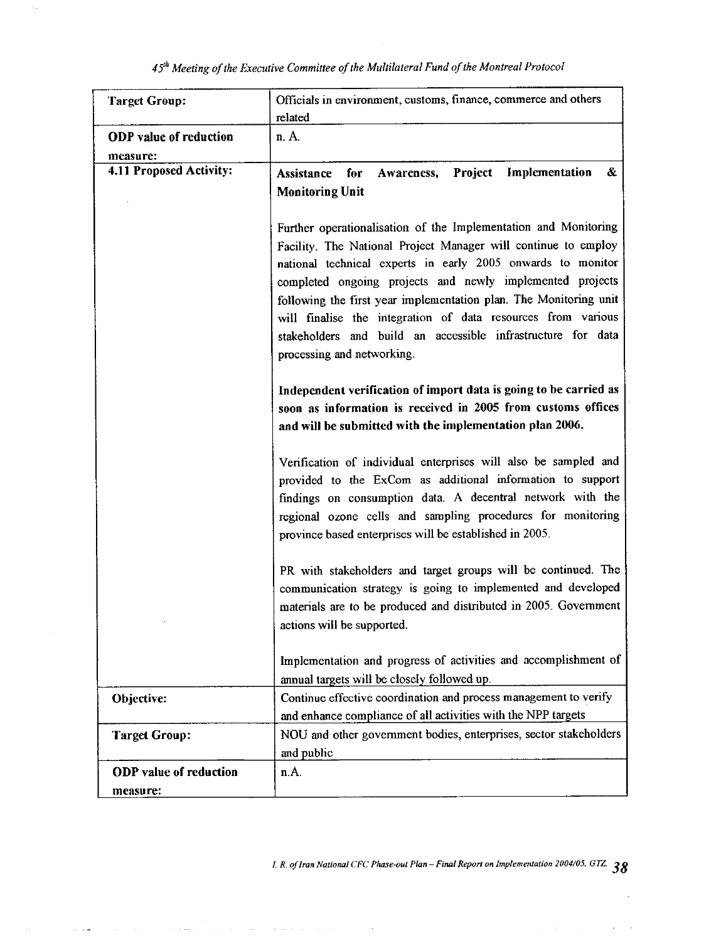| <b>Target Group:</b>          | Officials in environment, customs, finance, commerce and others         |  |  |  |  |
|-------------------------------|-------------------------------------------------------------------------|--|--|--|--|
|                               | related                                                                 |  |  |  |  |
| <b>ODP</b> value of reduction | n. A.                                                                   |  |  |  |  |
| measure:                      |                                                                         |  |  |  |  |
| 4.11 Proposed Activity:       | Implementation<br>$\pmb{\&}$<br>Project<br>Assistance for<br>Awareness, |  |  |  |  |
|                               | <b>Monitoring Unit</b>                                                  |  |  |  |  |
|                               |                                                                         |  |  |  |  |
|                               | Further operationalisation of the Implementation and Monitoring         |  |  |  |  |
|                               | Facility. The National Project Manager will continue to employ          |  |  |  |  |
|                               | national technical experts in early 2005 onwards to monitor             |  |  |  |  |
|                               | completed ongoing projects and newly implemented projects               |  |  |  |  |
|                               | following the first year implementation plan. The Monitoring unit       |  |  |  |  |
|                               | will finalise the integration of data resources from various            |  |  |  |  |
|                               | stakeholders and build an accessible infrastructure for data            |  |  |  |  |
|                               | processing and networking.                                              |  |  |  |  |
|                               |                                                                         |  |  |  |  |
|                               | Independent verification of import data is going to be carried as       |  |  |  |  |
|                               | soon as information is received in 2005 from customs offices            |  |  |  |  |
|                               | and will be submitted with the implementation plan 2006.                |  |  |  |  |
|                               |                                                                         |  |  |  |  |
|                               | Verification of individual enterprises will also be sampled and         |  |  |  |  |
|                               | provided to the ExCom as additional information to support              |  |  |  |  |
|                               | findings on consumption data. A decentral network with the              |  |  |  |  |
|                               | regional ozone cells and sampling procedures for monitoring             |  |  |  |  |
|                               | province based enterprises will be established in 2005.                 |  |  |  |  |
|                               |                                                                         |  |  |  |  |
|                               | PR with stakeholders and target groups will be continued. The           |  |  |  |  |
|                               | communication strategy is going to implemented and developed            |  |  |  |  |
|                               | materials are to be produced and distributed in 2005. Government        |  |  |  |  |
|                               | actions will be supported.                                              |  |  |  |  |
|                               |                                                                         |  |  |  |  |
|                               | Implementation and progress of activities and accomplishment of         |  |  |  |  |
|                               | annual targets will be closely followed up.                             |  |  |  |  |
| Objective:                    | Continue effective coordination and process management to verify        |  |  |  |  |
|                               | and enhance compliance of all activities with the NPP targets           |  |  |  |  |
| <b>Target Group:</b>          | NOU and other government bodies, enterprises, sector stakeholders       |  |  |  |  |
|                               | and public                                                              |  |  |  |  |
| <b>ODP</b> value of reduction | n.A.                                                                    |  |  |  |  |
| measure:                      |                                                                         |  |  |  |  |

 $\mathbb{Z}^2$ 

 $\ldots$ 

 $\langle \hat{z}_i \rangle$  and  $\hat{z}_j$ 

I. R. of Iran National CFC Phase-out Plan - Final Report on Implementation 2004/05. GTZ  $38$ 

 $\bar{1}$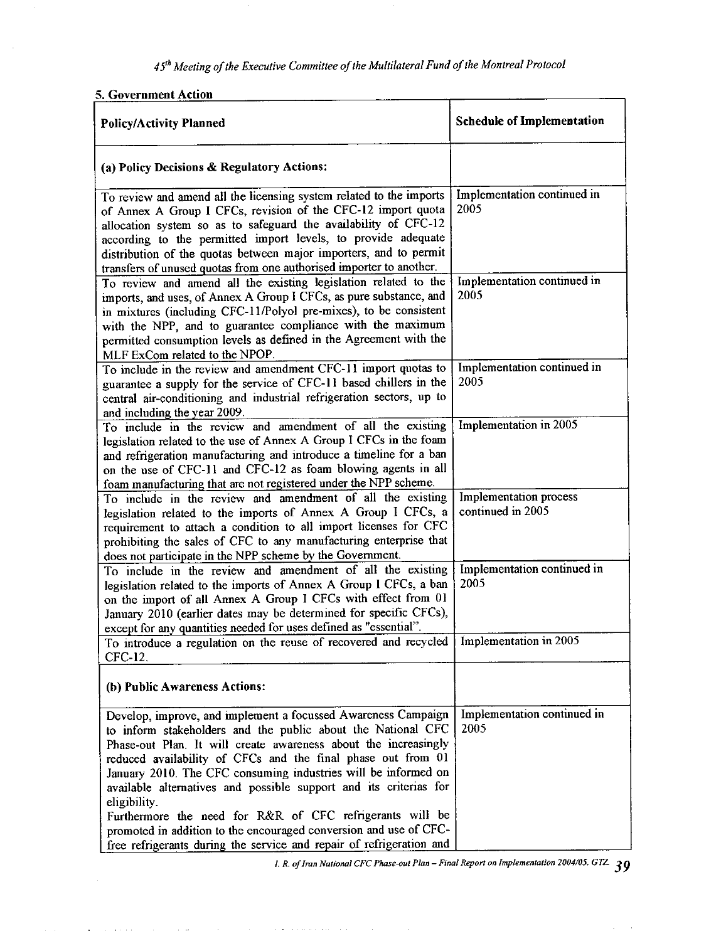### 5. Government Action

 $\mathcal{L}(\mathcal{A})$  and  $\mathcal{L}(\mathcal{A})$ 

 $\hat{A}$  , where  $\hat{A}$ 

 $\hat{L}$  and

 $\mathcal{A}^{\mathcal{A}}$ 

 $\langle \hat{z}_i, \hat{z}_j \rangle$  , and  $\hat{z}_i$  , and  $\hat{z}_j$ 

| <b>Policy/Activity Planned</b>                                                                                                                                                                                                                                                                                                                                                                                                                                                                                                                                                                                                   | <b>Schedule of Implementation</b>           |  |
|----------------------------------------------------------------------------------------------------------------------------------------------------------------------------------------------------------------------------------------------------------------------------------------------------------------------------------------------------------------------------------------------------------------------------------------------------------------------------------------------------------------------------------------------------------------------------------------------------------------------------------|---------------------------------------------|--|
| (a) Policy Decisions & Regulatory Actions:                                                                                                                                                                                                                                                                                                                                                                                                                                                                                                                                                                                       |                                             |  |
| To review and amend all the licensing system related to the imports<br>of Annex A Group I CFCs, revision of the CFC-12 import quota<br>allocation system so as to safeguard the availability of CFC-12<br>according to the permitted import levels, to provide adequate<br>distribution of the quotas between major importers, and to permit<br>transfers of unused quotas from one authorised importer to another.                                                                                                                                                                                                              | Implementation continued in<br>2005         |  |
| To review and amend all the existing legislation related to the<br>imports, and uses, of Annex A Group I CFCs, as pure substance, and<br>in mixtures (including CFC-11/Polyol pre-mixes), to be consistent<br>with the NPP, and to guarantee compliance with the maximum<br>permitted consumption levels as defined in the Agreement with the<br>MLF ExCom related to the NPOP.                                                                                                                                                                                                                                                  | Implementation continued in<br>2005         |  |
| To include in the review and amendment CFC-11 import quotas to<br>guarantee a supply for the service of CFC-11 based chillers in the<br>central air-conditioning and industrial refrigeration sectors, up to<br>and including the year 2009.                                                                                                                                                                                                                                                                                                                                                                                     | Implementation continued in<br>2005         |  |
| To include in the review and amendment of all the existing<br>legislation related to the use of Annex A Group I CFCs in the foam<br>and refrigeration manufacturing and introduce a timeline for a ban<br>on the use of CFC-11 and CFC-12 as foam blowing agents in all<br>foam manufacturing that are not registered under the NPP scheme.                                                                                                                                                                                                                                                                                      | Implementation in 2005                      |  |
| To include in the review and amendment of all the existing<br>legislation related to the imports of Annex A Group I CFCs, a<br>requirement to attach a condition to all import licenses for CFC<br>prohibiting the sales of CFC to any manufacturing enterprise that<br>does not participate in the NPP scheme by the Government.                                                                                                                                                                                                                                                                                                | Implementation process<br>continued in 2005 |  |
| To include in the review and amendment of all the existing<br>legislation related to the imports of Annex A Group I CFCs, a ban<br>on the import of all Annex A Group I CFCs with effect from 01<br>January 2010 (earlier dates may be determined for specific CFCs),<br>except for any quantities needed for uses defined as "essential".                                                                                                                                                                                                                                                                                       | Implementation continued in<br>2005         |  |
| To introduce a regulation on the reuse of recovered and recycled   Implementation in 2005<br>CFC-12.                                                                                                                                                                                                                                                                                                                                                                                                                                                                                                                             |                                             |  |
| (b) Public Awareness Actions:                                                                                                                                                                                                                                                                                                                                                                                                                                                                                                                                                                                                    |                                             |  |
| Develop, improve, and implement a focussed Awareness Campaign<br>to inform stakeholders and the public about the National CFC<br>Phase-out Plan. It will create awareness about the increasingly<br>reduced availability of CFCs and the final phase out from 01<br>January 2010. The CFC consuming industries will be informed on<br>available alternatives and possible support and its criterias for<br>eligibility.<br>Furthermore the need for R&R of CFC refrigerants will be<br>promoted in addition to the encouraged conversion and use of CFC-<br>free refrigerants during the service and repair of refrigeration and | Implementation continued in<br>2005         |  |

1. R. of Iran National CFC Phase-out Plan - Final Report on Implementation 2004/05. GTZ  $39$ 

 $\bar{1}$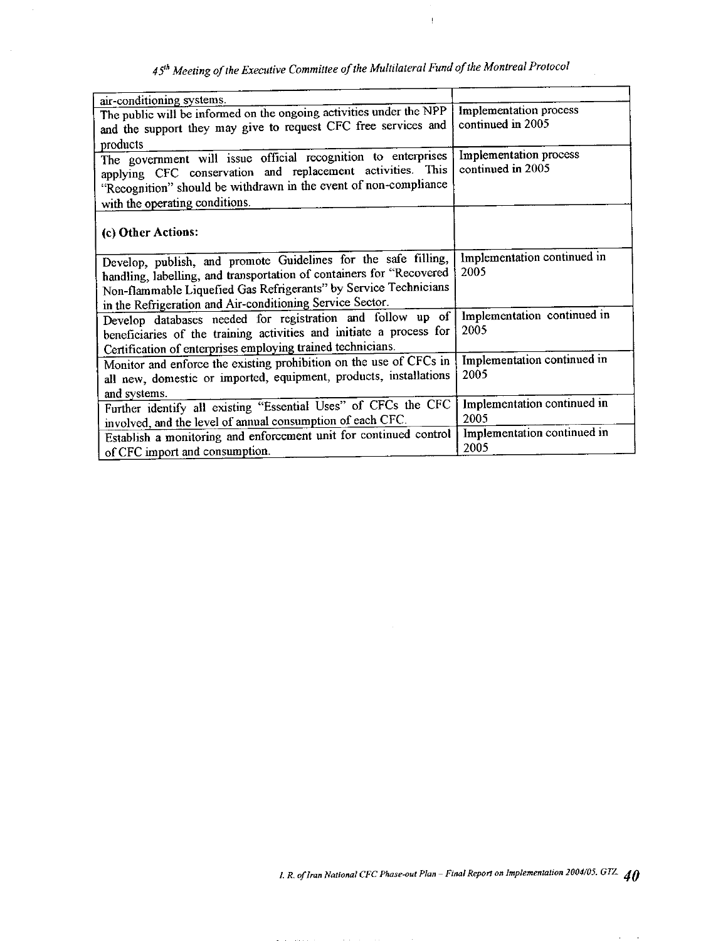$\frac{1}{2}$ 

| air-conditioning systems.<br>The public will be informed on the ongoing activities under the NPP<br>and the support they may give to request CFC free services and<br>products                                                                                          | Implementation process<br>continued in 2005 |
|-------------------------------------------------------------------------------------------------------------------------------------------------------------------------------------------------------------------------------------------------------------------------|---------------------------------------------|
| The government will issue official recognition to enterprises<br>applying CFC conservation and replacement activities. This<br>"Recognition" should be withdrawn in the event of non-compliance<br>with the operating conditions.                                       | Implementation process<br>continued in 2005 |
| (c) Other Actions:                                                                                                                                                                                                                                                      |                                             |
| Develop, publish, and promote Guidelines for the safe filling,<br>handling, labelling, and transportation of containers for "Recovered<br>Non-flammable Liquefied Gas Refrigerants" by Service Technicians<br>in the Refrigeration and Air-conditioning Service Sector. | Implementation continued in<br>2005         |
| Develop databases needed for registration and follow up of<br>beneficiaries of the training activities and initiate a process for<br>Certification of enterprises employing trained technicians.                                                                        | Implementation continued in<br>2005         |
| Monitor and enforce the existing prohibition on the use of CFCs in<br>all new, domestic or imported, equipment, products, installations<br>and systems.                                                                                                                 | Implementation continued in<br>2005         |
| Further identify all existing "Essential Uses" of CFCs the CFC<br>involved, and the level of annual consumption of each CFC.                                                                                                                                            | Implementation continued in<br>2005         |
| Establish a monitoring and enforcement unit for continued control<br>of CFC import and consumption.                                                                                                                                                                     | Implementation continued in<br>2005         |

 $\alpha$  and  $\alpha$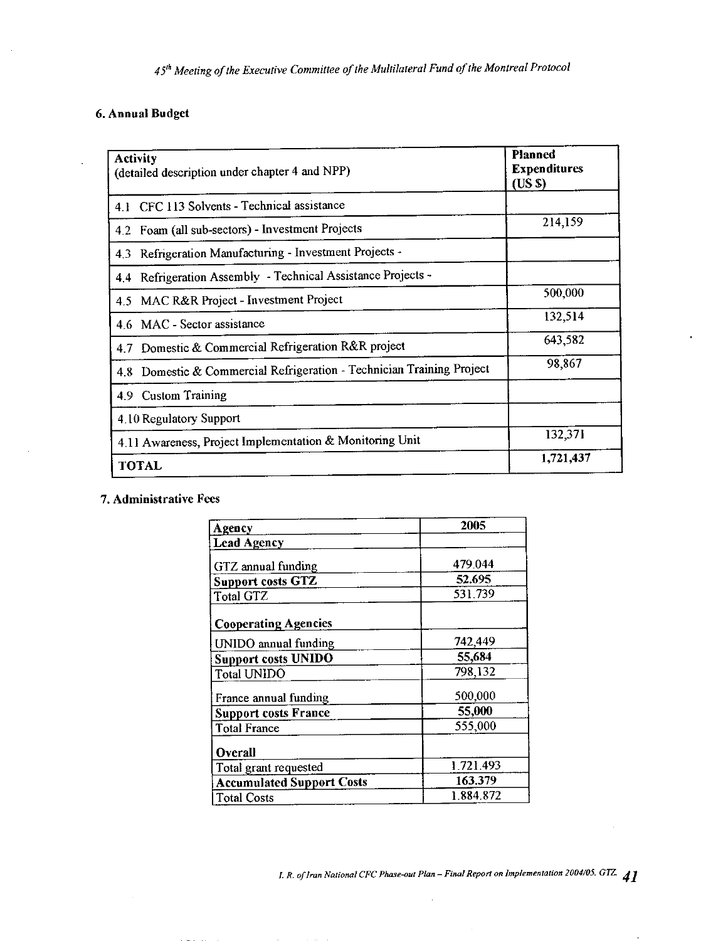### 6. Annual Budget

| <b>Activity</b><br>(detailed description under chapter 4 and NPP)     | Planned<br><b>Expenditures</b><br>(USS) |  |
|-----------------------------------------------------------------------|-----------------------------------------|--|
| 4.1 CFC 113 Solvents - Technical assistance                           |                                         |  |
| 4.2 Foam (all sub-sectors) - Investment Projects                      | 214,159                                 |  |
| Refrigeration Manufacturing - Investment Projects -<br>4.3            |                                         |  |
| Refrigeration Assembly - Technical Assistance Projects -<br>4.4       |                                         |  |
| MAC R&R Project - Investment Project<br>$4.5^{\circ}$                 | 500,000                                 |  |
| 4.6 MAC - Sector assistance                                           | 132,514                                 |  |
| 4.7 Domestic & Commercial Refrigeration R&R project                   | 643.582                                 |  |
| 4.8 Domestic & Commercial Refrigeration - Technician Training Project | 98,867                                  |  |
| 4.9 Custom Training                                                   |                                         |  |
| 4.10 Regulatory Support                                               |                                         |  |
| 4.11 Awareness, Project Implementation & Monitoring Unit              | 132.371                                 |  |
| <b>TOTAL</b>                                                          | 1,721,437                               |  |

### 7. Administrative Fees

| Agency                           | 2005      |
|----------------------------------|-----------|
| <b>Lead Agency</b>               |           |
| GTZ annual funding               | 479.044   |
| <b>Support costs GTZ</b>         | 52.695    |
| <b>Total GTZ</b>                 | 531.739   |
| <b>Cooperating Agencies</b>      |           |
| <b>UNIDO</b> annual funding      | 742,449   |
| <b>Support costs UNIDO</b>       | 55,684    |
| <b>Total UNIDO</b>               | 798,132   |
| France annual funding            | 500,000   |
| <b>Support costs France</b>      | 55,000    |
| <b>Total France</b>              | 555,000   |
| <b>Overall</b>                   |           |
| Total grant requested            | 1.721.493 |
| <b>Accumulated Support Costs</b> | 163.379   |
| <b>Total Costs</b>               | 1.884.872 |

I. R. of Iran National CFC Phase-out Plan - Final Report on Implementation 2004/05. GTZ. 41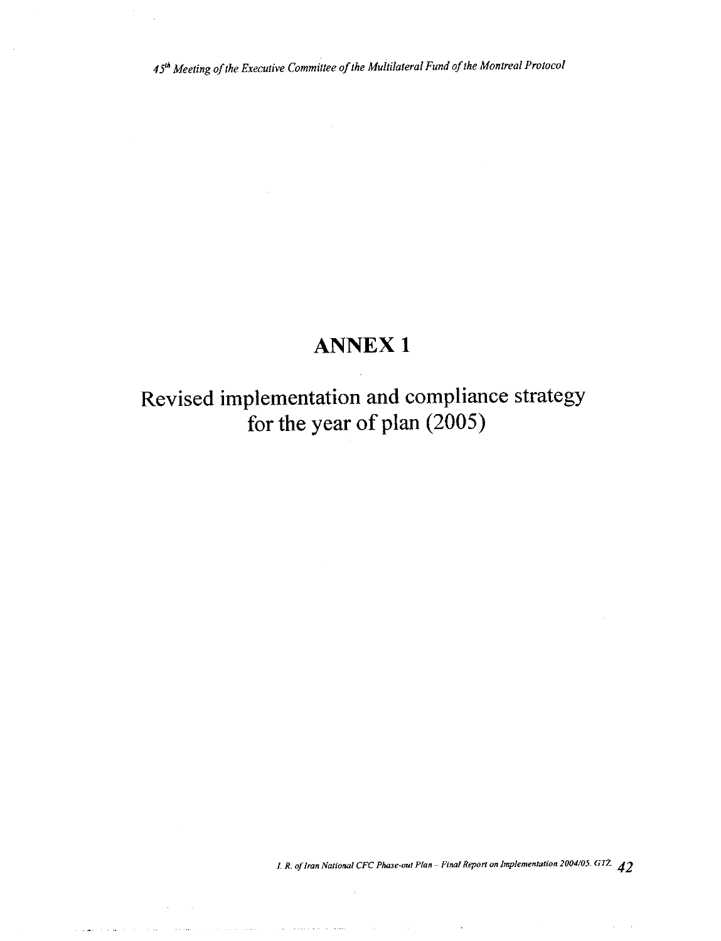# **ANNEX1**

Revised implementation and compliance strategy for the year of plan (2005)

 $\sim 10$ 

 $\alpha$ 

المشاركات المالا والممار

<u>ali suuri luuli maalisesta k</u>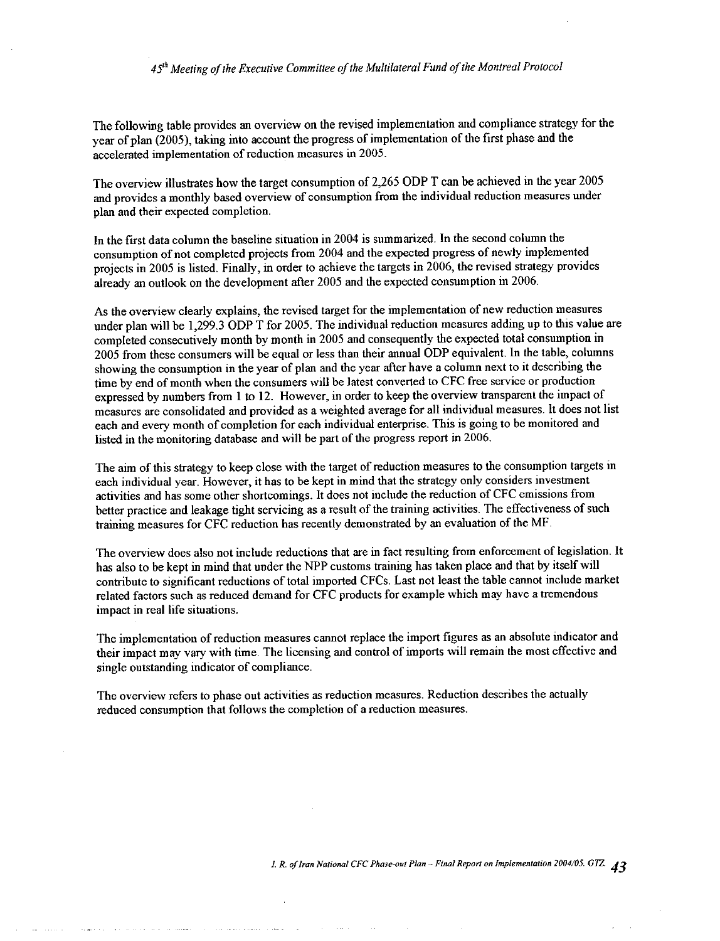The following table provides an overview on the revised implementation and compliance strategy for the year of plan (2005), taking into account the progress of implementation of the first phase and the accelerated implementation of reduction measures in 2005.

The overview illustrates how the target consumption of 2,265 ODP T can be achieved in the year 2005 and provides a monthly based overview of consumption from the individual reduction measures under plan and their expected completion.

In the first data column the baseline situation in 2004 is summarized. In the second column the consumption of not completed projects from 2004 and the expected progress of newly implemented projects in 2005 is listed. Finally, in order to achieve the targets in 2006, the revised strategy provides already an outlook on the development after 2005 and the expected consumption in 2006.

As the overview clearly explains, the revised target for the implementation of new reduction measures under plan will be 1,299.3 ODP T for 2005. The individual reduction measures adding up to this value are completed consecutively month by month in 2005 and consequently the expected total consumption in 2005 from these consumers will be equal or less than their annual ODP equivalent. In the table, columns showing the consumption in the year of plan and the year after have a column next to it describing the time by end of month when the consumers will be latest converted to CFC free service or production expressed by numbers from 1 to 12. However, in order to keep the overview transparent the impact of measures are consolidated and provided as a weighted average for all individual measures. It does not list each and every month of completion for each individual enterprise. This is going to be monitored and listed in the monitoring database and will be part of the progress report in 2006.

The aim of this strategy to keep close with the target of reduction measures to the consumption targets in each individual year. However, it has to be kept in mind that the strategy only considers investment activities and has some other shortcomings. It does not include the reduction of CFC emissions from better practice and leakage tight servicing as a result of the training activities. The effectiveness of such training measures for CFC reduction has recently demonstrated by an evaluation of the MF.

The overview does also not include reductions that are in fact resulting from enforcement of legislation. It has also to be kept in mind that under the NPP customs training has taken place and that by itself will contribute to significant reductions of total imported CFCs. Last not least the table cannot include market related factors such as reduced demand for CFC products for example which may have a tremendous impact in real life situations.

The implementation of reduction measures cannot replace the import figures as an absolute indicator and their impact may vary with time. The licensing and control of imports will remain the most effective and single outstanding indicator of compliance.

The overview refers to phase out activities as reduction measures. Reduction describes the actually reduced consumption that follows the completion of a reduction measures.